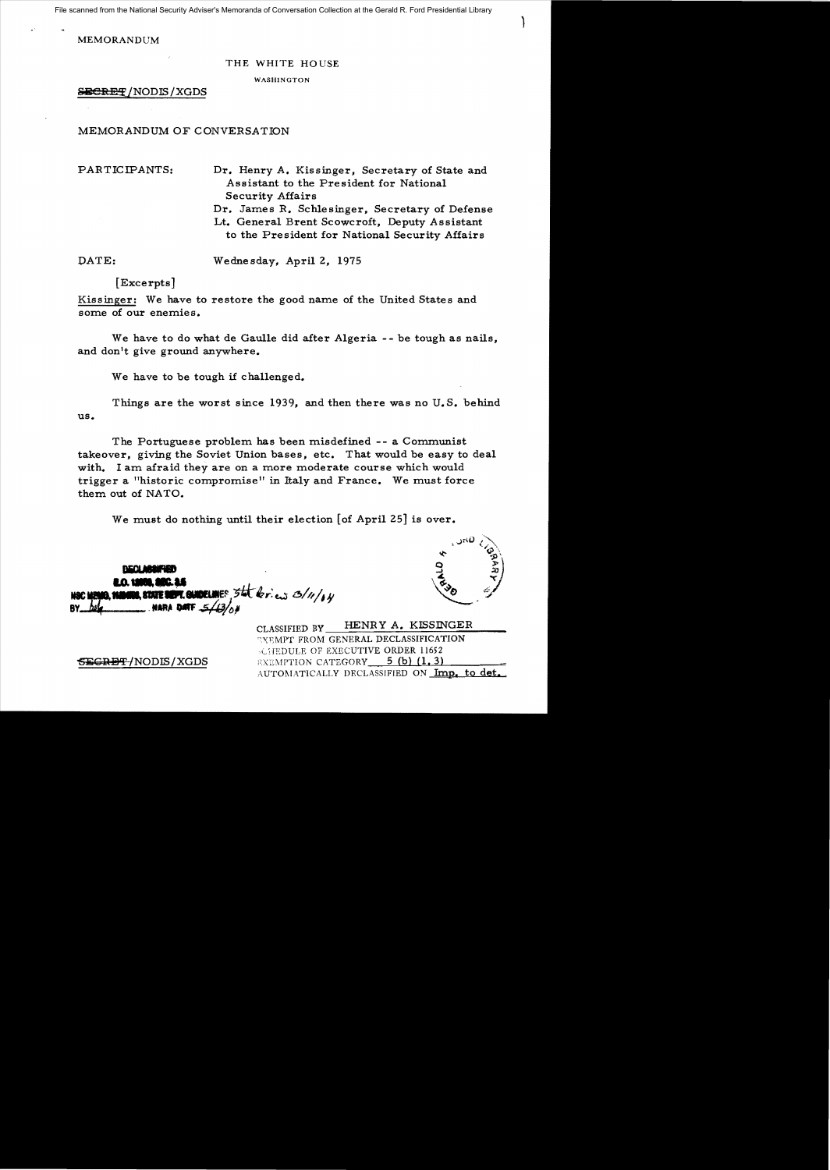File scanned from the National Security Adviser's Memoranda of Conversation Collection at the Gerald R. Ford Presidential Library

MEMORANDUM

## THE WHITE HO USE

WASHINGTON

**SEGRET/NODIS/XGDS** 

## MEMORANDUM OF CONVERSATION

PARTICIPANTS: Dr. Henry A. Kissinger, Secretary of State and Assistant to the President for National Security Affairs Dr. James R. Schlesinger, Secretary of Defense Lt. General Brent Scowcroft, Deputy Assistant

to the President for National Security Affairs

DATE: Wednesday, April 2, 1975

[Excerpts]

Kissinger: We have to restore the good name of the United States and some of our enemies.

We have to do what de Gaulle did after Algeria -- be tough as nails, and don't give ground anywhere.

We have to be tough if challenged.

Things are the worst since 1939, and then there was no U.S. behind us.

The Portuguese problem has been misdefined - - a Communist takeover, giving the Soviet Union bases, etc. That would be easy to deal with. I am afraid they are on a more moderate course which would trigger a "historic compromise" in Italy and France. We must force them out of NATO.

We must do nothing until their election  $[$ of April 25 $]$  is over.

، ن $D_{\alpha}$  ,  $\sum_{\alpha}$  $\mathbf{v}$   $\mathbf{v}_\mathbf{p}$  $\frac{9}{9}$ ~,~

)

**COM SUDELINES** 5th bries 3/11/AN MSC MANIA SMANINE RYATE **NARA DATE** 

CLASSIFIED BY HENRY A. KISSINGER ~XEMPT FROM GENERAL DECLASSIFICATION \~ IEDULE OF EXECUTIVE ORDER 11652 5<del>EGRET/</del>NODIS/XGDS EXEMPTION CATEGORY 5 (b) (1.3) AUTOMATICALLY DECLASSIFIED ON Imp. to det.